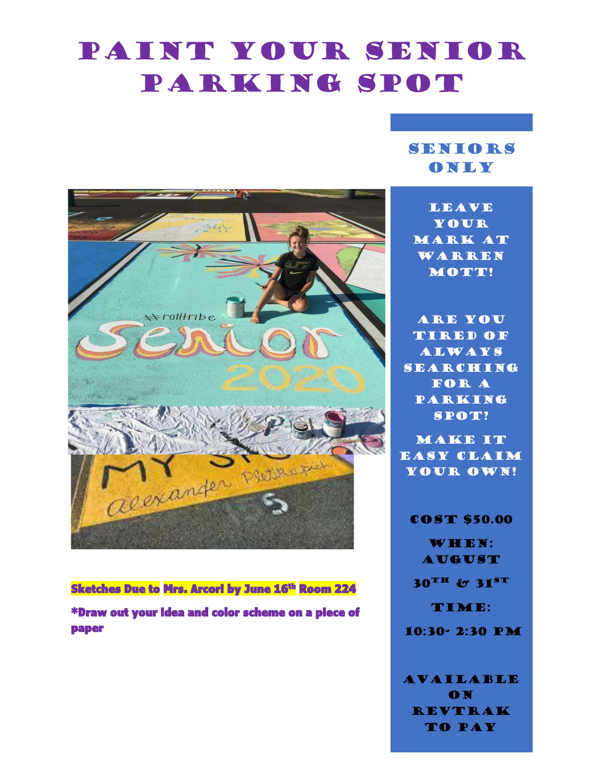# Paint Your Senior PARKING SPOT

## SENIORS **ONLY**

**LEAVE** your MARK AT Warren MOTT!

Are you tired of **ALWAYS SEARCHING** FOR A **PARKING** spot?

Make it easy claim YOUR OWN!

**COST \$50.00** WHEN: **AUGUST**  $30$ <sup>TH</sup> &  $31$ <sup>ST</sup> TIME: 10:30- 2:30 pm

**AVAILABLE** on Revtrak TO PAY

 $*$ rolltribe acexander Putrer

\*Draw out your idea and color scheme on a piece of paper

#### Sketches Due to Mrs. Arcori by June 16<sup>th</sup> Room 224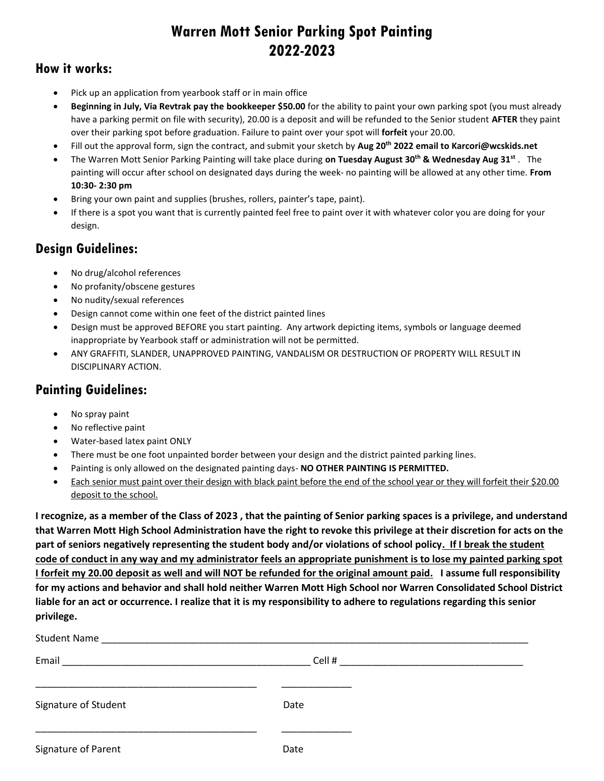## **Warren Mott Senior Parking Spot Painting 2022-2023**

## **How it works:**

- Pick up an application from yearbook staff or in main office
- **Beginning in July, Via Revtrak pay the bookkeeper \$50.00** for the ability to paint your own parking spot (you must already have a parking permit on file with security), 20.00 is a deposit and will be refunded to the Senior student **AFTER** they paint over their parking spot before graduation. Failure to paint over your spot will **forfeit** your 20.00.
- Fill out the approval form, sign the contract, and submit your sketch by **Aug 20 th 2022 email to Karcori@wcskids.net**
- The Warren Mott Senior Parking Painting will take place during **on Tuesday August 30 th & Wednesday Aug 31st** . The painting will occur after school on designated days during the week- no painting will be allowed at any other time. **From 10:30- 2:30 pm**
- Bring your own paint and supplies (brushes, rollers, painter's tape, paint).
- If there is a spot you want that is currently painted feel free to paint over it with whatever color you are doing for your design.

## **Design Guidelines:**

- No drug/alcohol references
- No profanity/obscene gestures
- No nudity/sexual references
- Design cannot come within one feet of the district painted lines
- Design must be approved BEFORE you start painting. Any artwork depicting items, symbols or language deemed inappropriate by Yearbook staff or administration will not be permitted.
- ANY GRAFFITI, SLANDER, UNAPPROVED PAINTING, VANDALISM OR DESTRUCTION OF PROPERTY WILL RESULT IN DISCIPLINARY ACTION.

## **Painting Guidelines:**

- No spray paint
- No reflective paint
- Water-based latex paint ONLY
- There must be one foot unpainted border between your design and the district painted parking lines.
- Painting is only allowed on the designated painting days- **NO OTHER PAINTING IS PERMITTED.**
- Each senior must paint over their design with black paint before the end of the school year or they will forfeit their \$20.00 deposit to the school.

**I recognize, as a member of the Class of 2023 , that the painting of Senior parking spaces is a privilege, and understand that Warren Mott High School Administration have the right to revoke this privilege at their discretion for acts on the part of seniors negatively representing the student body and/or violations of school policy. If I break the student code of conduct in any way and my administrator feels an appropriate punishment is to lose my painted parking spot I forfeit my 20.00 deposit as well and will NOT be refunded for the original amount paid. I assume full responsibility for my actions and behavior and shall hold neither Warren Mott High School nor Warren Consolidated School District liable for an act or occurrence. I realize that it is my responsibility to adhere to regulations regarding this senior privilege.**

| Email                | Cell # |  |
|----------------------|--------|--|
| Signature of Student | Date   |  |
| Signature of Parent  | Date   |  |